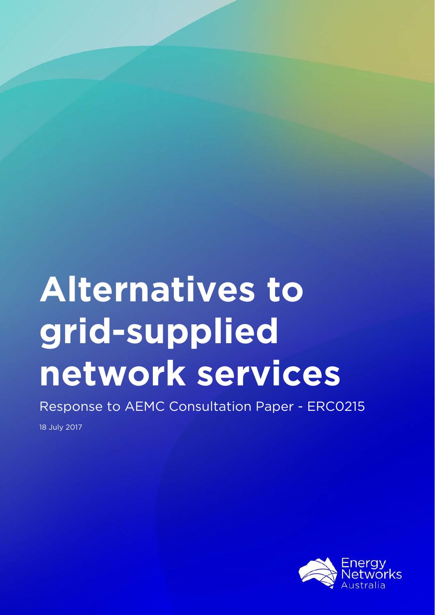# **Alternatives to grid-supplied network services**

Response to AEMC Consultation Paper - ERC0215

18 July 2017

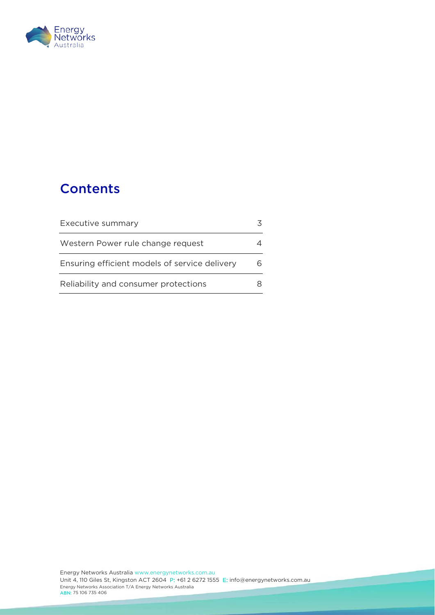

# **Contents**

| Executive summary                             |  |
|-----------------------------------------------|--|
| Western Power rule change request             |  |
| Ensuring efficient models of service delivery |  |
| Reliability and consumer protections          |  |

<u>e de la compa</u>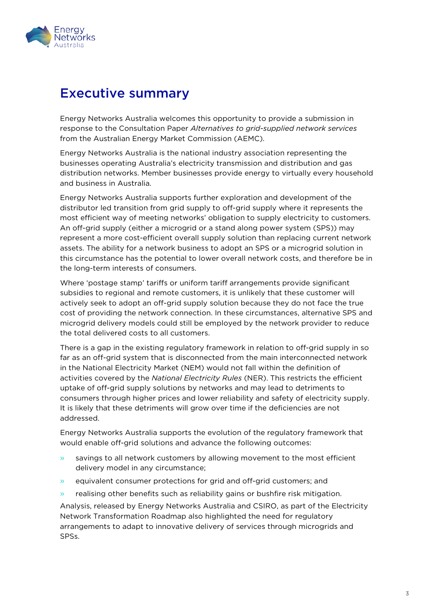

## <span id="page-2-0"></span>Executive summary

Energy Networks Australia welcomes this opportunity to provide a submission in response to the Consultation Paper *Alternatives to grid-supplied network services* from the Australian Energy Market Commission (AEMC).

Energy Networks Australia is the national industry association representing the businesses operating Australia's electricity transmission and distribution and gas distribution networks. Member businesses provide energy to virtually every household and business in Australia.

Energy Networks Australia supports further exploration and development of the distributor led transition from grid supply to off-grid supply where it represents the most efficient way of meeting networks' obligation to supply electricity to customers. An off-grid supply (either a microgrid or a stand along power system (SPS)) may represent a more cost-efficient overall supply solution than replacing current network assets. The ability for a network business to adopt an SPS or a microgrid solution in this circumstance has the potential to lower overall network costs, and therefore be in the long-term interests of consumers.

Where 'postage stamp' tariffs or uniform tariff arrangements provide significant subsidies to regional and remote customers, it is unlikely that these customer will actively seek to adopt an off-grid supply solution because they do not face the true cost of providing the network connection. In these circumstances, alternative SPS and microgrid delivery models could still be employed by the network provider to reduce the total delivered costs to all customers.

There is a gap in the existing regulatory framework in relation to off-grid supply in so far as an off-grid system that is disconnected from the main interconnected network in the National Electricity Market (NEM) would not fall within the definition of activities covered by the *National Electricity Rules* (NER). This restricts the efficient uptake of off-grid supply solutions by networks and may lead to detriments to consumers through higher prices and lower reliability and safety of electricity supply. It is likely that these detriments will grow over time if the deficiencies are not addressed.

Energy Networks Australia supports the evolution of the regulatory framework that would enable off-grid solutions and advance the following outcomes:

- » savings to all network customers by allowing movement to the most efficient delivery model in any circumstance;
- » equivalent consumer protections for grid and off-grid customers; and
- » realising other benefits such as reliability gains or bushfire risk mitigation.

Analysis, released by Energy Networks Australia and CSIRO, as part of the Electricity Network Transformation Roadmap also highlighted the need for regulatory arrangements to adapt to innovative delivery of services through microgrids and SPSs.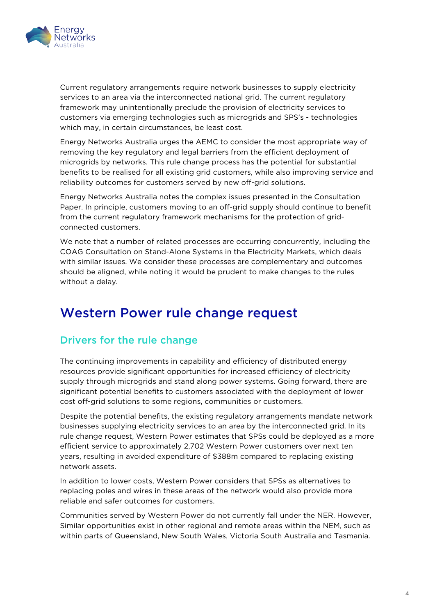

Current regulatory arrangements require network businesses to supply electricity services to an area via the interconnected national grid. The current regulatory framework may unintentionally preclude the provision of electricity services to customers via emerging technologies such as microgrids and SPS's - technologies which may, in certain circumstances, be least cost.

Energy Networks Australia urges the AEMC to consider the most appropriate way of removing the key regulatory and legal barriers from the efficient deployment of microgrids by networks. This rule change process has the potential for substantial benefits to be realised for all existing grid customers, while also improving service and reliability outcomes for customers served by new off-grid solutions.

Energy Networks Australia notes the complex issues presented in the Consultation Paper. In principle, customers moving to an off-grid supply should continue to benefit from the current regulatory framework mechanisms for the protection of gridconnected customers.

We note that a number of related processes are occurring concurrently, including the COAG Consultation on Stand-Alone Systems in the Electricity Markets, which deals with similar issues. We consider these processes are complementary and outcomes should be aligned, while noting it would be prudent to make changes to the rules without a delay.

## <span id="page-3-0"></span>Western Power rule change request

### Drivers for the rule change

The continuing improvements in capability and efficiency of distributed energy resources provide significant opportunities for increased efficiency of electricity supply through microgrids and stand along power systems. Going forward, there are significant potential benefits to customers associated with the deployment of lower cost off-grid solutions to some regions, communities or customers.

Despite the potential benefits, the existing regulatory arrangements mandate network businesses supplying electricity services to an area by the interconnected grid. In its rule change request, Western Power estimates that SPSs could be deployed as a more efficient service to approximately 2,702 Western Power customers over next ten years, resulting in avoided expenditure of \$388m compared to replacing existing network assets.

In addition to lower costs, Western Power considers that SPSs as alternatives to replacing poles and wires in these areas of the network would also provide more reliable and safer outcomes for customers.

Communities served by Western Power do not currently fall under the NER. However, Similar opportunities exist in other regional and remote areas within the NEM, such as within parts of Queensland, New South Wales, Victoria South Australia and Tasmania.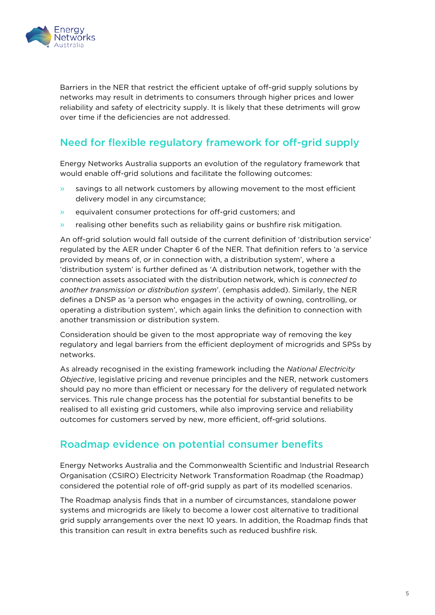

Barriers in the NER that restrict the efficient uptake of off-grid supply solutions by networks may result in detriments to consumers through higher prices and lower reliability and safety of electricity supply. It is likely that these detriments will grow over time if the deficiencies are not addressed.

## Need for flexible regulatory framework for off-grid supply

Energy Networks Australia supports an evolution of the regulatory framework that would enable off-grid solutions and facilitate the following outcomes:

- » savings to all network customers by allowing movement to the most efficient delivery model in any circumstance;
- » equivalent consumer protections for off-grid customers; and
- » realising other benefits such as reliability gains or bushfire risk mitigation.

An off-grid solution would fall outside of the current definition of 'distribution service' regulated by the AER under Chapter 6 of the NER. That definition refers to 'a service provided by means of, or in connection with, a distribution system', where a 'distribution system' is further defined as 'A distribution network, together with the connection assets associated with the distribution network, which is *connected to another transmission or distribution system*'. (emphasis added). Similarly, the NER defines a DNSP as 'a person who engages in the activity of owning, controlling, or operating a distribution system', which again links the definition to connection with another transmission or distribution system.

Consideration should be given to the most appropriate way of removing the key regulatory and legal barriers from the efficient deployment of microgrids and SPSs by networks.

As already recognised in the existing framework including the *National Electricity Objective*, legislative pricing and revenue principles and the NER, network customers should pay no more than efficient or necessary for the delivery of regulated network services. This rule change process has the potential for substantial benefits to be realised to all existing grid customers, while also improving service and reliability outcomes for customers served by new, more efficient, off-grid solutions.

#### Roadmap evidence on potential consumer benefits

Energy Networks Australia and the Commonwealth Scientific and Industrial Research Organisation (CSIRO) Electricity Network Transformation Roadmap (the Roadmap) considered the potential role of off-grid supply as part of its modelled scenarios.

The Roadmap analysis finds that in a number of circumstances, standalone power systems and microgrids are likely to become a lower cost alternative to traditional grid supply arrangements over the next 10 years. In addition, the Roadmap finds that this transition can result in extra benefits such as reduced bushfire risk.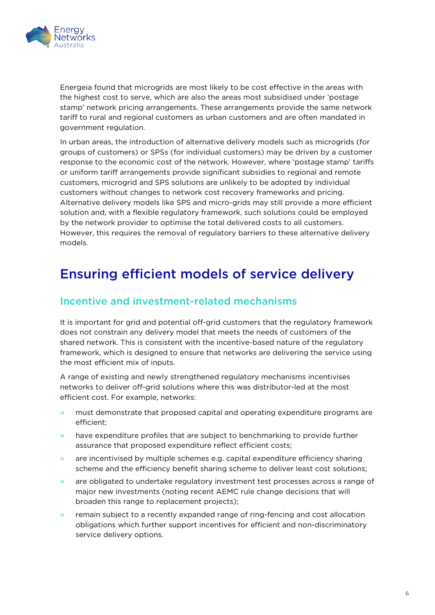

Energeia found that microgrids are most likely to be cost effective in the areas with the highest cost to serve, which are also the areas most subsidised under 'postage stamp' network pricing arrangements. These arrangements provide the same network tariff to rural and regional customers as urban customers and are often mandated in government regulation.

In urban areas, the introduction of alternative delivery models such as microgrids (for groups of customers) or SPSs (for individual customers) may be driven by a customer response to the economic cost of the network. However, where 'postage stamp' tariffs or uniform tariff arrangements provide significant subsidies to regional and remote customers, microgrid and SPS solutions are unlikely to be adopted by individual customers without changes to network cost recovery frameworks and pricing. Alternative delivery models like SPS and micro-grids may still provide a more efficient solution and, with a flexible regulatory framework, such solutions could be employed by the network provider to optimise the total delivered costs to all customers. However, this requires the removal of regulatory barriers to these alternative delivery models.

## <span id="page-5-0"></span>Ensuring efficient models of service delivery

#### Incentive and investment-related mechanisms

It is important for grid and potential off-grid customers that the regulatory framework does not constrain any delivery model that meets the needs of customers of the shared network. This is consistent with the incentive-based nature of the regulatory framework, which is designed to ensure that networks are delivering the service using the most efficient mix of inputs.

A range of existing and newly strengthened regulatory mechanisms incentivises networks to deliver off-grid solutions where this was distributor-led at the most efficient cost. For example, networks:

- » must demonstrate that proposed capital and operating expenditure programs are efficient;
- » have expenditure profiles that are subject to benchmarking to provide further assurance that proposed expenditure reflect efficient costs;
- » are incentivised by multiple schemes e.g. capital expenditure efficiency sharing scheme and the efficiency benefit sharing scheme to deliver least cost solutions;
- » are obligated to undertake regulatory investment test processes across a range of major new investments (noting recent AEMC rule change decisions that will broaden this range to replacement projects);
- » remain subject to a recently expanded range of ring-fencing and cost allocation obligations which further support incentives for efficient and non-discriminatory service delivery options.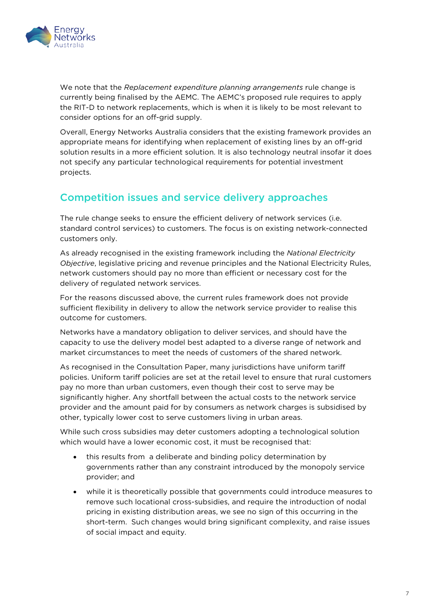

We note that the *Replacement expenditure planning arrangements* rule change is currently being finalised by the AEMC. The AEMC's proposed rule requires to apply the RIT-D to network replacements, which is when it is likely to be most relevant to consider options for an off-grid supply.

Overall, Energy Networks Australia considers that the existing framework provides an appropriate means for identifying when replacement of existing lines by an off-grid solution results in a more efficient solution. It is also technology neutral insofar it does not specify any particular technological requirements for potential investment projects.

#### Competition issues and service delivery approaches

The rule change seeks to ensure the efficient delivery of network services (i.e. standard control services) to customers. The focus is on existing network-connected customers only.

As already recognised in the existing framework including the *National Electricity Objective*, legislative pricing and revenue principles and the National Electricity Rules, network customers should pay no more than efficient or necessary cost for the delivery of regulated network services.

For the reasons discussed above, the current rules framework does not provide sufficient flexibility in delivery to allow the network service provider to realise this outcome for customers.

Networks have a mandatory obligation to deliver services, and should have the capacity to use the delivery model best adapted to a diverse range of network and market circumstances to meet the needs of customers of the shared network.

As recognised in the Consultation Paper, many jurisdictions have uniform tariff policies. Uniform tariff policies are set at the retail level to ensure that rural customers pay no more than urban customers, even though their cost to serve may be significantly higher. Any shortfall between the actual costs to the network service provider and the amount paid for by consumers as network charges is subsidised by other, typically lower cost to serve customers living in urban areas.

While such cross subsidies may deter customers adopting a technological solution which would have a lower economic cost, it must be recognised that:

- this results from a deliberate and binding policy determination by governments rather than any constraint introduced by the monopoly service provider; and
- while it is theoretically possible that governments could introduce measures to remove such locational cross-subsidies, and require the introduction of nodal pricing in existing distribution areas, we see no sign of this occurring in the short-term. Such changes would bring significant complexity, and raise issues of social impact and equity.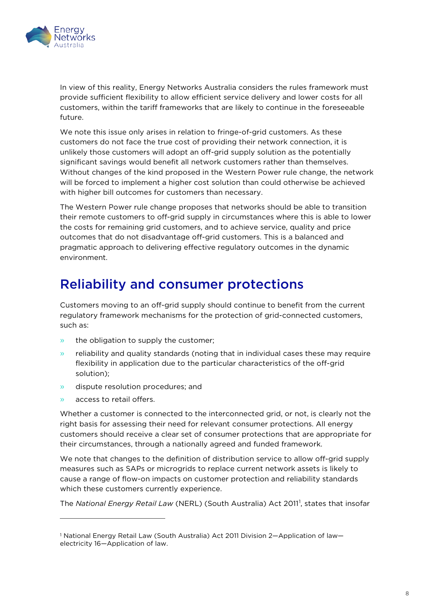

In view of this reality, Energy Networks Australia considers the rules framework must provide sufficient flexibility to allow efficient service delivery and lower costs for all customers, within the tariff frameworks that are likely to continue in the foreseeable future.

We note this issue only arises in relation to fringe-of-grid customers. As these customers do not face the true cost of providing their network connection, it is unlikely those customers will adopt an off-grid supply solution as the potentially significant savings would benefit all network customers rather than themselves. Without changes of the kind proposed in the Western Power rule change, the network will be forced to implement a higher cost solution than could otherwise be achieved with higher bill outcomes for customers than necessary.

The Western Power rule change proposes that networks should be able to transition their remote customers to off-grid supply in circumstances where this is able to lower the costs for remaining grid customers, and to achieve service, quality and price outcomes that do not disadvantage off-grid customers. This is a balanced and pragmatic approach to delivering effective regulatory outcomes in the dynamic environment.

## <span id="page-7-0"></span>Reliability and consumer protections

Customers moving to an off-grid supply should continue to benefit from the current regulatory framework mechanisms for the protection of grid-connected customers, such as:

- » the obligation to supply the customer;
- » reliability and quality standards (noting that in individual cases these may require flexibility in application due to the particular characteristics of the off-grid solution);
- » dispute resolution procedures; and
- » access to retail offers.

 $\overline{a}$ 

Whether a customer is connected to the interconnected grid, or not, is clearly not the right basis for assessing their need for relevant consumer protections. All energy customers should receive a clear set of consumer protections that are appropriate for their circumstances, through a nationally agreed and funded framework.

We note that changes to the definition of distribution service to allow off-grid supply measures such as SAPs or microgrids to replace current network assets is likely to cause a range of flow-on impacts on customer protection and reliability standards which these customers currently experience.

The National Energy Retail Law (NERL) (South Australia) Act 20[1](#page-7-1)1<sup>1</sup>, states that insofar

<span id="page-7-1"></span><sup>1</sup> National Energy Retail Law (South Australia) Act 2011 Division 2—Application of law electricity 16—Application of law.